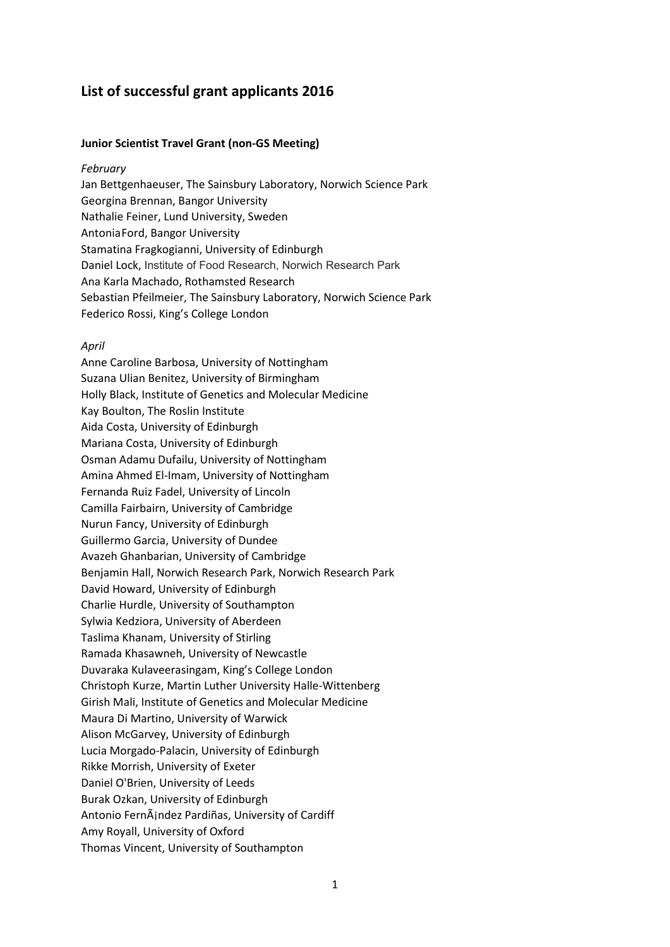# **List of successful grant applicants 2016**

## **Junior Scientist Travel Grant (non-GS Meeting)**

## *February*

Jan Bettgenhaeuser, The Sainsbury Laboratory, Norwich Science Park Georgina Brennan, Bangor University Nathalie Feiner, Lund University, Sweden Antonia Ford, Bangor University Stamatina Fragkogianni, University of Edinburgh Daniel Lock, Institute of Food Research, Norwich Research Park Ana Karla Machado, Rothamsted Research Sebastian Pfeilmeier, The Sainsbury Laboratory, Norwich Science Park Federico Rossi, King's College London

#### *April*

Anne Caroline Barbosa, University of Nottingham Suzana Ulian Benitez, University of Birmingham Holly Black, Institute of Genetics and Molecular Medicine Kay Boulton, The Roslin Institute Aida Costa, University of Edinburgh Mariana Costa, University of Edinburgh Osman Adamu Dufailu, University of Nottingham Amina Ahmed El-Imam, University of Nottingham Fernanda Ruiz Fadel, University of Lincoln Camilla Fairbairn, University of Cambridge Nurun Fancy, University of Edinburgh Guillermo Garcia, University of Dundee Avazeh Ghanbarian, University of Cambridge Benjamin Hall, Norwich Research Park, Norwich Research Park David Howard, University of Edinburgh Charlie Hurdle, University of Southampton Sylwia Kedziora, University of Aberdeen Taslima Khanam, University of Stirling Ramada Khasawneh, University of Newcastle Duvaraka Kulaveerasingam, King's College London Christoph Kurze, Martin Luther University Halle-Wittenberg Girish Mali, Institute of Genetics and Molecular Medicine Maura Di Martino, University of Warwick Alison McGarvey, University of Edinburgh Lucia Morgado-Palacin, University of Edinburgh Rikke Morrish, University of Exeter Daniel O'Brien, University of Leeds Burak Ozkan, University of Edinburgh Antonio FernÃindez Pardiñas, University of Cardiff Amy Royall, University of Oxford Thomas Vincent, University of Southampton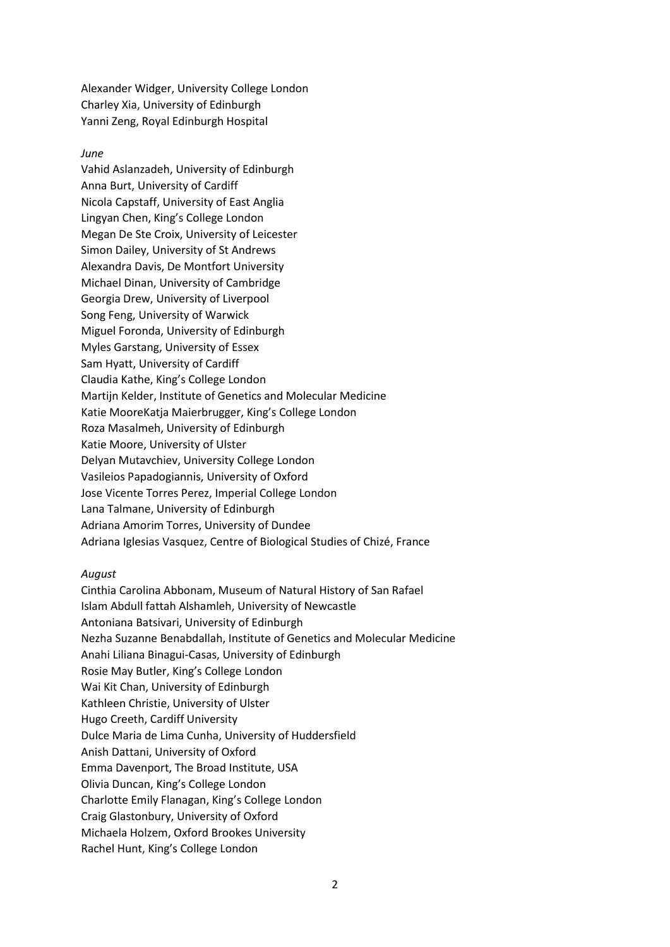Alexander Widger, University College London Charley Xia, University of Edinburgh Yanni Zeng, Royal Edinburgh Hospital

#### *June*

Vahid Aslanzadeh, University of Edinburgh Anna Burt, University of Cardiff Nicola Capstaff, University of East Anglia Lingyan Chen, King's College London Megan De Ste Croix, University of Leicester Simon Dailey, University of St Andrews Alexandra Davis, De Montfort University Michael Dinan, University of Cambridge Georgia Drew, University of Liverpool Song Feng, University of Warwick Miguel Foronda, University of Edinburgh Myles Garstang, University of Essex Sam Hyatt, University of Cardiff Claudia Kathe, King's College London Martijn Kelder, Institute of Genetics and Molecular Medicine Katie MooreKatja Maierbrugger, King's College London Roza Masalmeh, University of Edinburgh Katie Moore, University of Ulster Delyan Mutavchiev, University College London Vasileios Papadogiannis, University of Oxford Jose Vicente Torres Perez, Imperial College London Lana Talmane, University of Edinburgh Adriana Amorim Torres, University of Dundee Adriana Iglesias Vasquez, Centre of Biological Studies of Chizé, France

#### *August*

Cinthia Carolina Abbonam, Museum of Natural History of San Rafael Islam Abdull fattah Alshamleh, University of Newcastle Antoniana Batsivari, University of Edinburgh Nezha Suzanne Benabdallah, Institute of Genetics and Molecular Medicine Anahi Liliana Binagui-Casas, University of Edinburgh Rosie May Butler, King's College London Wai Kit Chan, University of Edinburgh Kathleen Christie, University of Ulster Hugo Creeth, Cardiff University Dulce Maria de Lima Cunha, University of Huddersfield Anish Dattani, University of Oxford Emma Davenport, The Broad Institute, USA Olivia Duncan, King's College London Charlotte Emily Flanagan, King's College London Craig Glastonbury, University of Oxford Michaela Holzem, Oxford Brookes University Rachel Hunt, King's College London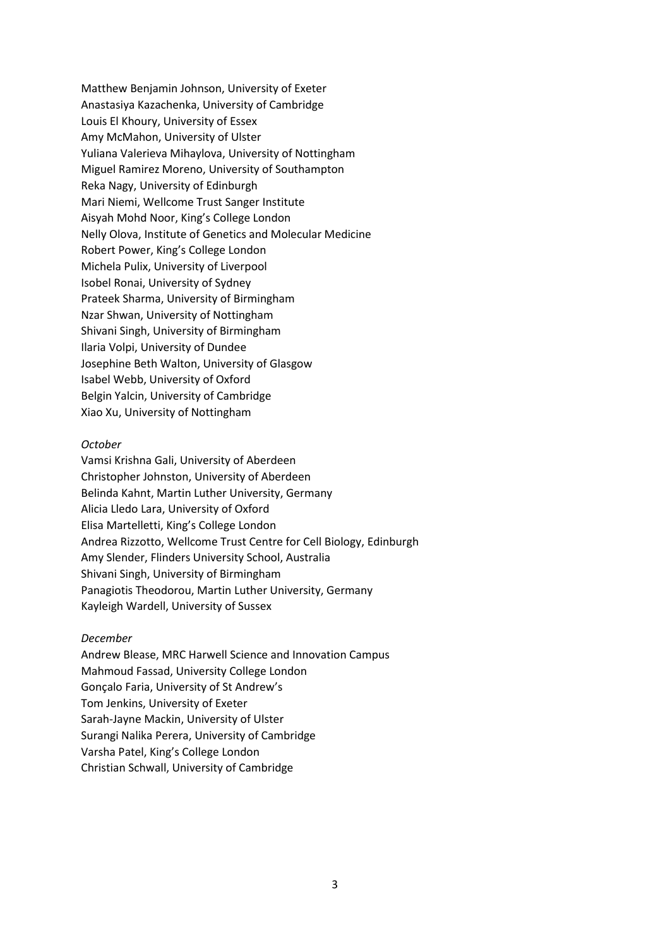Matthew Benjamin Johnson, University of Exeter Anastasiya Kazachenka, University of Cambridge Louis El Khoury, University of Essex Amy McMahon, University of Ulster Yuliana Valerieva Mihaylova, University of Nottingham Miguel Ramirez Moreno, University of Southampton Reka Nagy, University of Edinburgh Mari Niemi, Wellcome Trust Sanger Institute Aisyah Mohd Noor, King's College London Nelly Olova, Institute of Genetics and Molecular Medicine Robert Power, King's College London Michela Pulix, University of Liverpool Isobel Ronai, University of Sydney Prateek Sharma, University of Birmingham Nzar Shwan, University of Nottingham Shivani Singh, University of Birmingham Ilaria Volpi, University of Dundee Josephine Beth Walton, University of Glasgow Isabel Webb, University of Oxford Belgin Yalcin, University of Cambridge Xiao Xu, University of Nottingham

#### *October*

Vamsi Krishna Gali, University of Aberdeen Christopher Johnston, University of Aberdeen Belinda Kahnt, Martin Luther University, Germany Alicia Lledo Lara, University of Oxford Elisa Martelletti, King's College London Andrea Rizzotto, Wellcome Trust Centre for Cell Biology, Edinburgh Amy Slender, Flinders University School, Australia Shivani Singh, University of Birmingham Panagiotis Theodorou, Martin Luther University, Germany Kayleigh Wardell, University of Sussex

#### *December*

Andrew Blease, MRC Harwell Science and Innovation Campus Mahmoud Fassad, University College London Gonçalo Faria, University of St Andrew's Tom Jenkins, University of Exeter Sarah-Jayne Mackin, University of Ulster Surangi Nalika Perera, University of Cambridge Varsha Patel, King's College London Christian Schwall, University of Cambridge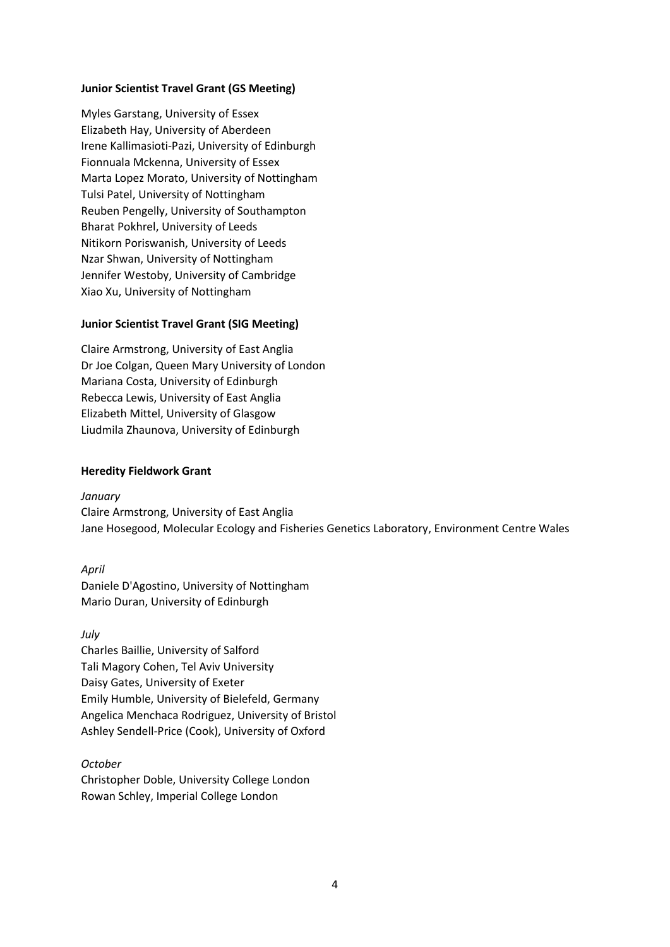# **Junior Scientist Travel Grant (GS Meeting)**

Myles Garstang, University of Essex Elizabeth Hay, University of Aberdeen Irene Kallimasioti-Pazi, University of Edinburgh Fionnuala Mckenna, University of Essex Marta Lopez Morato, University of Nottingham Tulsi Patel, University of Nottingham Reuben Pengelly, University of Southampton Bharat Pokhrel, University of Leeds Nitikorn Poriswanish, University of Leeds Nzar Shwan, University of Nottingham Jennifer Westoby, University of Cambridge Xiao Xu, University of Nottingham

# **Junior Scientist Travel Grant (SIG Meeting)**

Claire Armstrong, University of East Anglia Dr Joe Colgan, Queen Mary University of London Mariana Costa, University of Edinburgh Rebecca Lewis, University of East Anglia Elizabeth Mittel, University of Glasgow Liudmila Zhaunova, University of Edinburgh

## **Heredity Fieldwork Grant**

*January*

Claire Armstrong, University of East Anglia Jane Hosegood, Molecular Ecology and Fisheries Genetics Laboratory, Environment Centre Wales

*April* 

Daniele D'Agostino, University of Nottingham Mario Duran, University of Edinburgh

*July*  Charles Baillie, University of Salford Tali Magory Cohen, Tel Aviv University Daisy Gates, University of Exeter Emily Humble, University of Bielefeld, Germany Angelica Menchaca Rodriguez, University of Bristol Ashley Sendell-Price (Cook), University of Oxford

*October*  Christopher Doble, University College London Rowan Schley, Imperial College London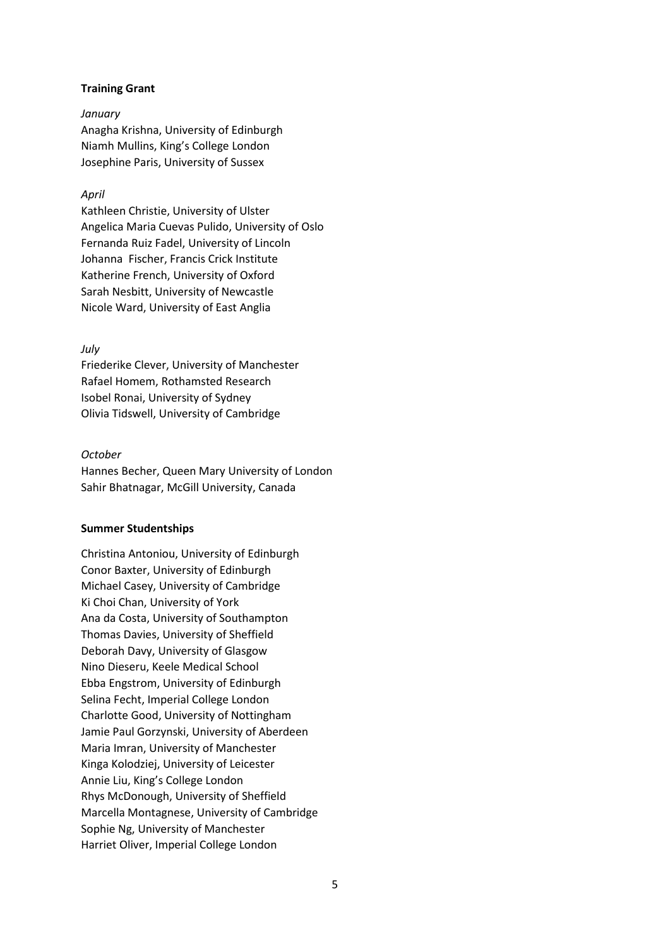# **Training Grant**

### *January*

Anagha Krishna, University of Edinburgh Niamh Mullins, King's College London Josephine Paris, University of Sussex

# *April*

Kathleen Christie, University of Ulster Angelica Maria Cuevas Pulido, University of Oslo Fernanda Ruiz Fadel, University of Lincoln Johanna Fischer, Francis Crick Institute Katherine French, University of Oxford Sarah Nesbitt, University of Newcastle Nicole Ward, University of East Anglia

## *July*

Friederike Clever, University of Manchester Rafael Homem, Rothamsted Research Isobel Ronai, University of Sydney Olivia Tidswell, University of Cambridge

## *October*

Hannes Becher, Queen Mary University of London Sahir Bhatnagar, McGill University, Canada

## **Summer Studentships**

Christina Antoniou, University of Edinburgh Conor Baxter, University of Edinburgh Michael Casey, University of Cambridge Ki Choi Chan, University of York Ana da Costa, University of Southampton Thomas Davies, University of Sheffield Deborah Davy, University of Glasgow Nino Dieseru, Keele Medical School Ebba Engstrom, University of Edinburgh Selina Fecht, Imperial College London Charlotte Good, University of Nottingham Jamie Paul Gorzynski, University of Aberdeen Maria Imran, University of Manchester Kinga Kolodziej, University of Leicester Annie Liu, King's College London Rhys McDonough, University of Sheffield Marcella Montagnese, University of Cambridge Sophie Ng, University of Manchester Harriet Oliver, Imperial College London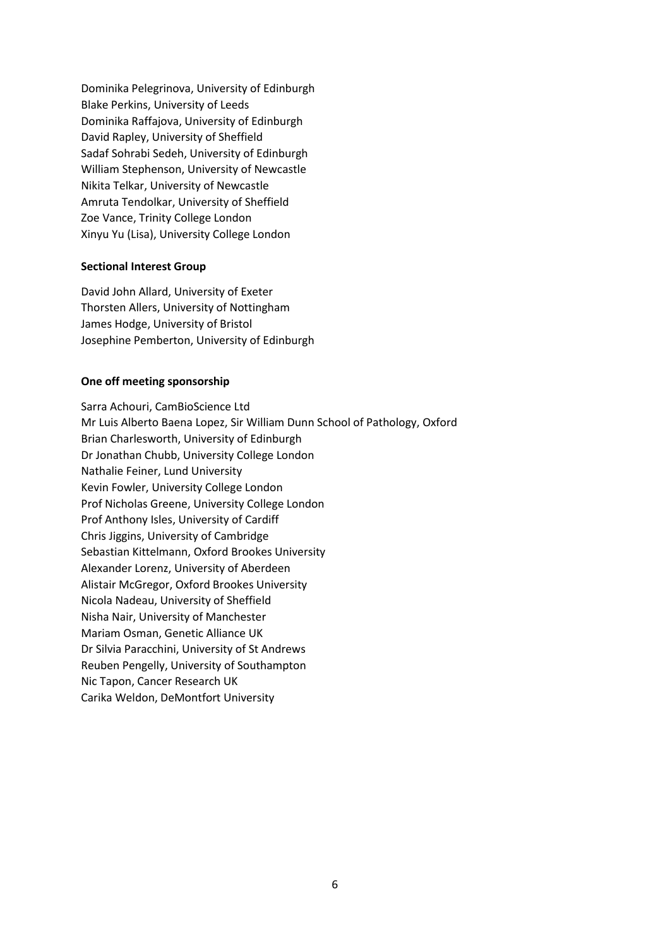Dominika Pelegrinova, University of Edinburgh Blake Perkins, University of Leeds Dominika Raffajova, University of Edinburgh David Rapley, University of Sheffield Sadaf Sohrabi Sedeh, University of Edinburgh William Stephenson, University of Newcastle Nikita Telkar, University of Newcastle Amruta Tendolkar, University of Sheffield Zoe Vance, Trinity College London Xinyu Yu (Lisa), University College London

## **Sectional Interest Group**

David John Allard, University of Exeter Thorsten Allers, University of Nottingham James Hodge, University of Bristol Josephine Pemberton, University of Edinburgh

## **One off meeting sponsorship**

Sarra Achouri, CamBioScience Ltd Mr Luis Alberto Baena Lopez, Sir William Dunn School of Pathology, Oxford Brian Charlesworth, University of Edinburgh Dr Jonathan Chubb, University College London Nathalie Feiner, Lund University Kevin Fowler, University College London Prof Nicholas Greene, University College London Prof Anthony Isles, University of Cardiff Chris Jiggins, University of Cambridge Sebastian Kittelmann, Oxford Brookes University Alexander Lorenz, University of Aberdeen Alistair McGregor, Oxford Brookes University Nicola Nadeau, University of Sheffield Nisha Nair, University of Manchester Mariam Osman, Genetic Alliance UK Dr Silvia Paracchini, University of St Andrews Reuben Pengelly, University of Southampton Nic Tapon, Cancer Research UK Carika Weldon, DeMontfort University